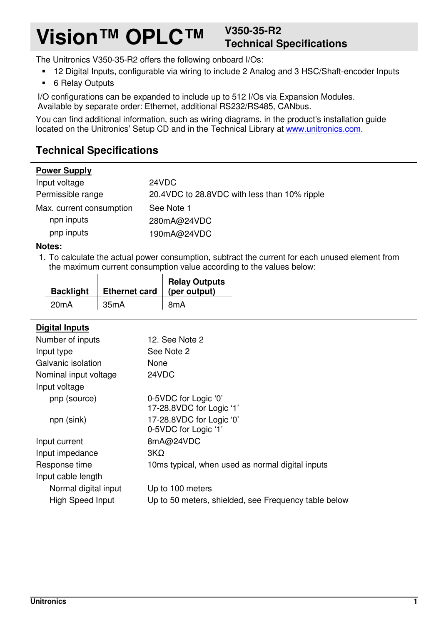# **Vision™ OPLC™ V350-35-R2**

# **Technical Specifications**

The Unitronics V350-35-R2 offers the following onboard I/Os:

- 12 Digital Inputs, configurable via wiring to include 2 Analog and 3 HSC/Shaft-encoder Inputs
- 6 Relay Outputs

**Power Supply**

I/O configurations can be expanded to include up to 512 I/Os via Expansion Modules. Available by separate order: Ethernet, additional RS232/RS485, CANbus.

You can find additional information, such as wiring diagrams, in the product's installation guide located on the Unitronics' Setup CD and in the Technical Library at www.unitronics.com.

## **Technical Specifications**

| <b>PUWEI SUPPIY</b>      |                                              |
|--------------------------|----------------------------------------------|
| Input voltage            | 24VDC                                        |
| Permissible range        | 20.4VDC to 28.8VDC with less than 10% ripple |
| Max. current consumption | See Note 1                                   |
| npn inputs               | 280mA@24VDC                                  |
| pnp inputs               | 190mA@24VDC                                  |

#### **Notes:**

1. To calculate the actual power consumption, subtract the current for each unused element from the maximum current consumption value according to the values below:

| <b>Backlight</b> | <b>Ethernet card</b> | <b>Relay Outputs</b><br>(per output) |
|------------------|----------------------|--------------------------------------|
| 20mA             | 35 <sub>m</sub> A    | 8mA                                  |

#### **Digital Inputs**

| -                       |                                                      |
|-------------------------|------------------------------------------------------|
| Number of inputs        | 12. See Note 2                                       |
| Input type              | See Note 2                                           |
| Galvanic isolation      | None                                                 |
| Nominal input voltage   | 24VDC                                                |
| Input voltage           |                                                      |
| pnp (source)            | 0-5VDC for Logic '0'<br>17-28.8VDC for Logic '1'     |
| npn (sink)              | 17-28.8VDC for Logic '0'                             |
|                         | 0-5VDC for Logic '1'                                 |
| Input current           | 8mA@24VDC                                            |
| Input impedance         | $3K\Omega$                                           |
| Response time           | 10ms typical, when used as normal digital inputs     |
| Input cable length      |                                                      |
| Normal digital input    | Up to 100 meters                                     |
| <b>High Speed Input</b> | Up to 50 meters, shielded, see Frequency table below |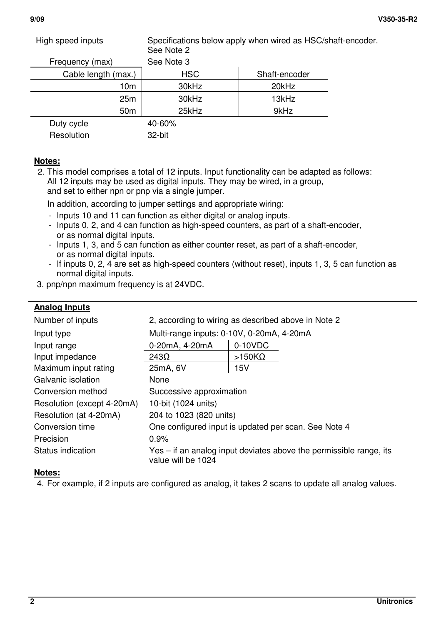| High speed inputs   | Specifications below apply when wired as HSC/shaft-encoder.<br>See Note 2 |               |  |
|---------------------|---------------------------------------------------------------------------|---------------|--|
| Frequency (max)     | See Note 3                                                                |               |  |
| Cable length (max.) | <b>HSC</b>                                                                | Shaft-encoder |  |
| 10m                 | 30kHz                                                                     | 20kHz         |  |
| 25m                 | 30kHz                                                                     | 13kHz         |  |
| 50 <sub>m</sub>     | 25kHz                                                                     | 9kHz          |  |
| Duty cycle          | 40-60%                                                                    |               |  |
| Resolution          | 32-bit                                                                    |               |  |

#### **Notes:**

2. This model comprises a total of 12 inputs. Input functionality can be adapted as follows: All 12 inputs may be used as digital inputs. They may be wired, in a group, and set to either npn or pnp via a single jumper.

In addition, according to jumper settings and appropriate wiring:

- Inputs 10 and 11 can function as either digital or analog inputs.
- Inputs 0, 2, and 4 can function as high-speed counters, as part of a shaft-encoder, or as normal digital inputs.
- Inputs 1, 3, and 5 can function as either counter reset, as part of a shaft-encoder, or as normal digital inputs.
- If inputs 0, 2, 4 are set as high-speed counters (without reset), inputs 1, 3, 5 can function as normal digital inputs.
- 3. pnp/npn maximum frequency is at 24VDC.

#### **Analog Inputs**

| Number of inputs           | 2, according to wiring as described above in Note 2 |                                                                    |  |
|----------------------------|-----------------------------------------------------|--------------------------------------------------------------------|--|
| Input type                 | Multi-range inputs: 0-10V, 0-20mA, 4-20mA           |                                                                    |  |
| Input range                | 0-20mA, 4-20mA                                      | $0-10VDC$                                                          |  |
| Input impedance            | 243Ω                                                | >150KΩ                                                             |  |
| Maximum input rating       | 25mA, 6V                                            | 15V                                                                |  |
| Galvanic isolation         | None                                                |                                                                    |  |
| Conversion method          | Successive approximation                            |                                                                    |  |
| Resolution (except 4-20mA) | 10-bit (1024 units)                                 |                                                                    |  |
| Resolution (at 4-20mA)     | 204 to 1023 (820 units)                             |                                                                    |  |
| Conversion time            |                                                     | One configured input is updated per scan. See Note 4               |  |
| Precision                  | 0.9%                                                |                                                                    |  |
| Status indication          | value will be 1024                                  | Yes – if an analog input deviates above the permissible range, its |  |

#### **Notes:**

4. For example, if 2 inputs are configured as analog, it takes 2 scans to update all analog values.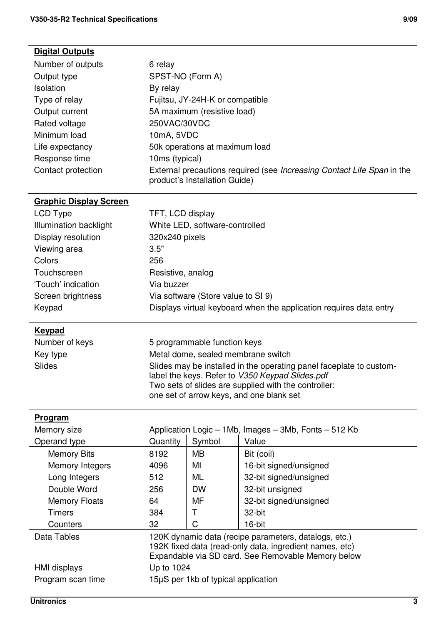### **Digital Outputs**

| Number of outputs  | 6 relay                                                                                                        |
|--------------------|----------------------------------------------------------------------------------------------------------------|
| Output type        | SPST-NO (Form A)                                                                                               |
| <b>Isolation</b>   | By relay                                                                                                       |
| Type of relay      | Fujitsu, JY-24H-K or compatible                                                                                |
| Output current     | 5A maximum (resistive load)                                                                                    |
| Rated voltage      | 250VAC/30VDC                                                                                                   |
| Minimum load       | 10mA, 5VDC                                                                                                     |
| Life expectancy    | 50k operations at maximum load                                                                                 |
| Response time      | 10ms (typical)                                                                                                 |
| Contact protection | External precautions required (see <i>Increasing Contact Life Span</i> in the<br>product's Installation Guide) |

### **Graphic Display Screen**

| LCD Type               | TFT, LCD display                                                   |
|------------------------|--------------------------------------------------------------------|
| Illumination backlight | White LED, software-controlled                                     |
| Display resolution     | 320x240 pixels                                                     |
| Viewing area           | 3.5"                                                               |
| Colors                 | 256                                                                |
| Touchscreen            | Resistive, analog                                                  |
| 'Touch' indication     | Via buzzer                                                         |
| Screen brightness      | Via software (Store value to SI 9)                                 |
| Keypad                 | Displays virtual keyboard when the application requires data entry |

## **Keypad**

| Number of keys | 5 programmable function keys                                                                                                                                                                                               |
|----------------|----------------------------------------------------------------------------------------------------------------------------------------------------------------------------------------------------------------------------|
| Key type       | Metal dome, sealed membrane switch                                                                                                                                                                                         |
| Slides         | Slides may be installed in the operating panel faceplate to custom-<br>label the keys. Refer to V350 Keypad Slides.pdf<br>Two sets of slides are supplied with the controller:<br>one set of arrow keys, and one blank set |

| Program              |            |                                     |                                                                                                                                                                        |
|----------------------|------------|-------------------------------------|------------------------------------------------------------------------------------------------------------------------------------------------------------------------|
| Memory size          |            |                                     | Application Logic – 1Mb, Images – 3Mb, Fonts – 512 Kb                                                                                                                  |
| Operand type         | Quantity   | Symbol                              | Value                                                                                                                                                                  |
| <b>Memory Bits</b>   | 8192       | MВ                                  | Bit (coil)                                                                                                                                                             |
| Memory Integers      | 4096       | MI                                  | 16-bit signed/unsigned                                                                                                                                                 |
| Long Integers        | 512        | ML                                  | 32-bit signed/unsigned                                                                                                                                                 |
| Double Word          | 256        | <b>DW</b>                           | 32-bit unsigned                                                                                                                                                        |
| <b>Memory Floats</b> | 64         | MF                                  | 32-bit signed/unsigned                                                                                                                                                 |
| <b>Timers</b>        | 384        |                                     | 32-bit                                                                                                                                                                 |
| Counters             | 32         | С                                   | 16-bit                                                                                                                                                                 |
| Data Tables          |            |                                     | 120K dynamic data (recipe parameters, datalogs, etc.)<br>192K fixed data (read-only data, ingredient names, etc)<br>Expandable via SD card. See Removable Memory below |
| HMI displays         | Up to 1024 |                                     |                                                                                                                                                                        |
| Program scan time    |            | 15µS per 1kb of typical application |                                                                                                                                                                        |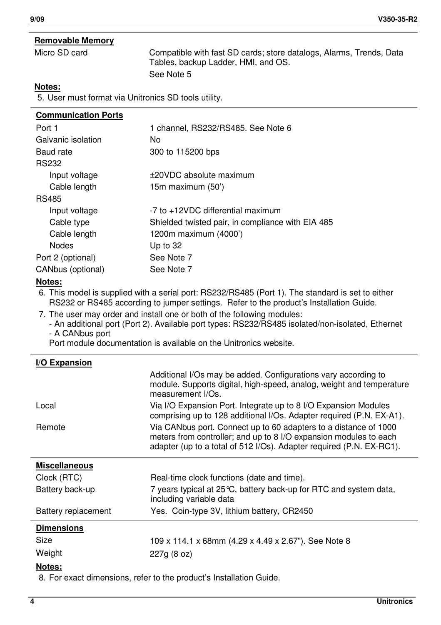## **Removable Memory**

| Micro SD card |  |  |
|---------------|--|--|
|---------------|--|--|

Compatible with fast SD cards; store datalogs, Alarms, Trends, Data Tables, backup Ladder, HMI, and OS. See Note 5

#### **Notes:**

5. User must format via Unitronics SD tools utility.

| <b>Communication Ports</b> |                                                   |
|----------------------------|---------------------------------------------------|
| Port 1                     | 1 channel, RS232/RS485, See Note 6                |
| Galvanic isolation         | No                                                |
| Baud rate                  | 300 to 115200 bps                                 |
| <b>RS232</b>               |                                                   |
| Input voltage              | +20VDC absolute maximum                           |
| Cable length               | 15 $m$ maximum (50')                              |
| <b>RS485</b>               |                                                   |
| Input voltage              | -7 to +12VDC differential maximum                 |
| Cable type                 | Shielded twisted pair, in compliance with EIA 485 |
| Cable length               | 1200m maximum (4000')                             |
| <b>Nodes</b>               | Up to $32$                                        |
| Port 2 (optional)          | See Note 7                                        |
| CANbus (optional)          | See Note 7                                        |
| $N = 1 - 1$                |                                                   |

#### **Notes:**

6. This model is supplied with a serial port: RS232/RS485 (Port 1). The standard is set to either RS232 or RS485 according to jumper settings. Refer to the product's Installation Guide.

7. The user may order and install one or both of the following modules: - An additional port (Port 2). Available port types: RS232/RS485 isolated/non-isolated, Ethernet - A CANbus port

Port module documentation is available on the Unitronics website.

| I/O Expansion        |                                                                                                                                                                                                               |
|----------------------|---------------------------------------------------------------------------------------------------------------------------------------------------------------------------------------------------------------|
|                      | Additional I/Os may be added. Configurations vary according to<br>module. Supports digital, high-speed, analog, weight and temperature<br>measurement I/Os.                                                   |
| Local                | Via I/O Expansion Port. Integrate up to 8 I/O Expansion Modules<br>comprising up to 128 additional I/Os. Adapter required (P.N. EX-A1).                                                                       |
| Remote               | Via CANbus port. Connect up to 60 adapters to a distance of 1000<br>meters from controller; and up to 8 I/O expansion modules to each<br>adapter (up to a total of 512 I/Os). Adapter required (P.N. EX-RC1). |
| <b>Miscellaneous</b> |                                                                                                                                                                                                               |
| Clock (RTC)          | Real-time clock functions (date and time).                                                                                                                                                                    |
| Battery back-up      | 7 years typical at 25 °C, battery back-up for RTC and system data,<br>including variable data                                                                                                                 |
| Battery replacement  | Yes. Coin-type 3V, lithium battery, CR2450                                                                                                                                                                    |
| <b>Dimensions</b>    |                                                                                                                                                                                                               |
| Size                 | 109 x 114.1 x 68mm (4.29 x 4.49 x 2.67"). See Note 8                                                                                                                                                          |
| Weight               | 227g (8 oz)                                                                                                                                                                                                   |
| Notes:               |                                                                                                                                                                                                               |

8. For exact dimensions, refer to the product's Installation Guide.